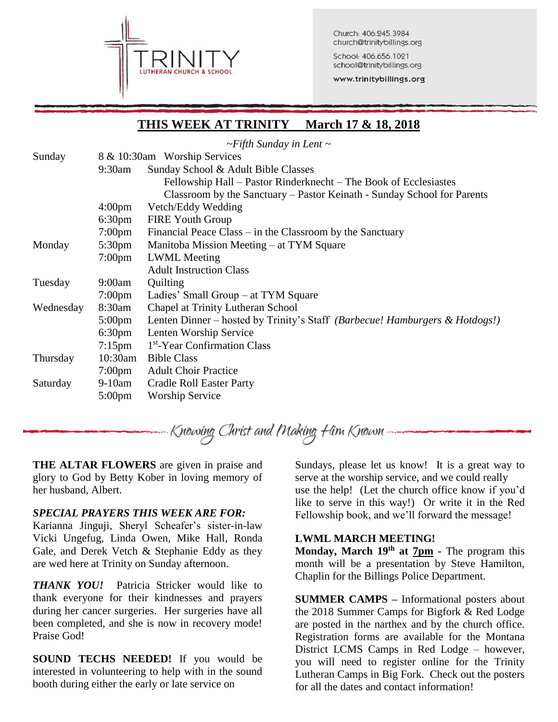

Church: 406.245.3984 church@trinitybillings.org

School: 406.656.1021 school@trinitybillings.org

www.trinitybillings.org

# **THIS WEEK AT TRINITY March 17 & 18, 2018**

*~Fifth Sunday in Lent ~*

| Sunday    | 8 & 10:30am Worship Services |                                                                             |  |  |
|-----------|------------------------------|-----------------------------------------------------------------------------|--|--|
|           | 9:30am                       | Sunday School & Adult Bible Classes                                         |  |  |
|           |                              | Fellowship Hall – Pastor Rinderknecht – The Book of Ecclesiastes            |  |  |
|           |                              | Classroom by the Sanctuary – Pastor Keinath - Sunday School for Parents     |  |  |
|           | $4:00 \text{pm}$             | Vetch/Eddy Wedding                                                          |  |  |
|           | $6:30 \text{pm}$             | <b>FIRE Youth Group</b>                                                     |  |  |
|           | $7:00 \text{pm}$             | Financial Peace Class – in the Classroom by the Sanctuary                   |  |  |
| Monday    | 5:30 <sub>pm</sub>           | Manitoba Mission Meeting – at TYM Square                                    |  |  |
|           | $7:00 \text{pm}$             | <b>LWML</b> Meeting                                                         |  |  |
|           |                              | <b>Adult Instruction Class</b>                                              |  |  |
| Tuesday   | 9:00am                       | Quilting                                                                    |  |  |
|           | $7:00 \text{pm}$             | Ladies' Small Group – at TYM Square                                         |  |  |
| Wednesday | 8:30am                       | Chapel at Trinity Lutheran School                                           |  |  |
|           | $5:00 \text{pm}$             | Lenten Dinner – hosted by Trinity's Staff (Barbecue! Hamburgers & Hotdogs!) |  |  |
|           | $6:30 \text{pm}$             | Lenten Worship Service                                                      |  |  |
|           | $7:15$ pm                    | 1 <sup>st</sup> -Year Confirmation Class                                    |  |  |
| Thursday  | $10:30$ am                   | <b>Bible Class</b>                                                          |  |  |
|           | $7:00 \text{pm}$             | <b>Adult Choir Practice</b>                                                 |  |  |
| Saturday  | 9-10am                       | <b>Cradle Roll Easter Party</b>                                             |  |  |
|           | $5:00 \text{pm}$             | <b>Worship Service</b>                                                      |  |  |

Knowing Christ and Making Him Known -

**THE ALTAR FLOWERS** are given in praise and glory to God by Betty Kober in loving memory of her husband, Albert.

## *SPECIAL PRAYERS THIS WEEK ARE FOR:*

Karianna Jinguji, Sheryl Scheafer's sister-in-law Vicki Ungefug, Linda Owen, Mike Hall, Ronda Gale, and Derek Vetch & Stephanie Eddy as they are wed here at Trinity on Sunday afternoon.

*THANK YOU!* Patricia Stricker would like to thank everyone for their kindnesses and prayers during her cancer surgeries. Her surgeries have all been completed, and she is now in recovery mode! Praise God!

**SOUND TECHS NEEDED!** If you would be interested in volunteering to help with in the sound booth during either the early or late service on

Sundays, please let us know! It is a great way to serve at the worship service, and we could really use the help! (Let the church office know if you'd like to serve in this way!) Or write it in the Red Fellowship book, and we'll forward the message!

## **LWML MARCH MEETING!**

**Monday, March 19th at 7pm -** The program this month will be a presentation by Steve Hamilton, Chaplin for the Billings Police Department.

**SUMMER CAMPS –** Informational posters about the 2018 Summer Camps for Bigfork & Red Lodge are posted in the narthex and by the church office. Registration forms are available for the Montana District LCMS Camps in Red Lodge – however, you will need to register online for the Trinity Lutheran Camps in Big Fork. Check out the posters for all the dates and contact information!